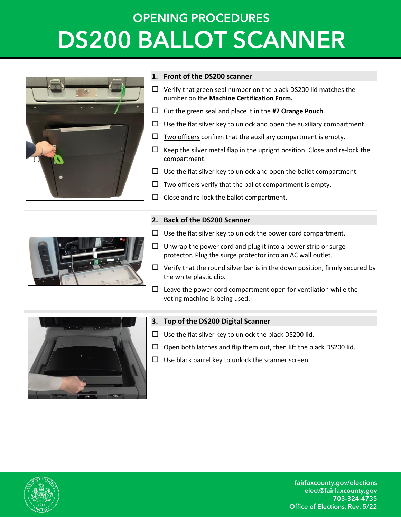## **OPENING PROCEDURES DS200 BALLOT SCANNER**



#### **1. Front of the DS200 scanner**

- $\Box$  Verify that green seal number on the black DS200 lid matches the number on the **Machine Certification Form.**
- Cut the green seal and place it in the **#7 Orange Pouch**.
- $\Box$  Use the flat silver key to unlock and open the auxiliary compartment.
- $\Box$  Two officers confirm that the auxiliary compartment is empty.
- $\Box$  Keep the silver metal flap in the upright position. Close and re-lock the compartment.
- $\Box$  Use the flat silver key to unlock and open the ballot compartment.
- $\square$  Two officers verify that the ballot compartment is empty.
- $\Box$  Close and re-lock the ballot compartment.

### **2. Back of the DS200 Scanner**



- $\Box$  Use the flat silver key to unlock the power cord compartment.
- $\Box$  Unwrap the power cord and plug it into a power strip or surge protector. Plug the surge protector into an AC wall outlet.
- $\Box$  Verify that the round silver bar is in the down position, firmly secured by the white plastic clip.
- $\square$  Leave the power cord compartment open for ventilation while the voting machine is being used.



### **3. Top of the DS200 Digital Scanner**

- $\Box$  Use the flat silver key to unlock the black DS200 lid.
- $\Box$  Open both latches and flip them out, then lift the black DS200 lid.
- $\Box$  Use black barrel key to unlock the scanner screen.



**fairfaxcounty.gov/elections elect@fairfaxcounty.gov 703-324-4735 Office of Elections, Rev. 5/22**